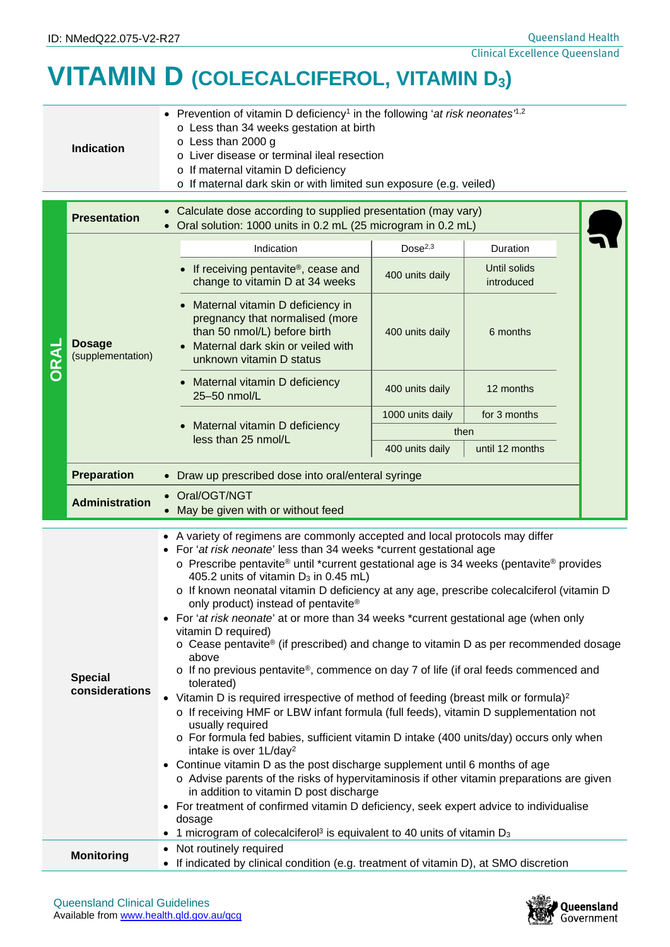## **VITAMIN D (COLECALCIFEROL, VITAMIN D3)**

| <b>Indication</b> | • Prevention of vitamin D deficiency <sup>1</sup> in the following 'at risk neonates <sup>7,2</sup><br>o Less than 34 weeks gestation at birth<br>$\circ$ Less than 2000 g<br>o Liver disease or terminal ileal resection<br>o If maternal vitamin D deficiency<br>o If maternal dark skin or with limited sun exposure (e.g. veiled) |
|-------------------|---------------------------------------------------------------------------------------------------------------------------------------------------------------------------------------------------------------------------------------------------------------------------------------------------------------------------------------|

|      | <b>Presentation</b>                | Calculate dose according to supplied presentation (may vary)<br>Oral solution: 1000 units in 0.2 mL (25 microgram in 0.2 mL)                                                                                                                                                                                                                                                                                                                                                                                                                                                                                                                                                                                                                                                                                                                                                                                                                                                                                                                                                                                                                                                                                                                                                                                                                                  |                     |                            |  |  |  |
|------|------------------------------------|---------------------------------------------------------------------------------------------------------------------------------------------------------------------------------------------------------------------------------------------------------------------------------------------------------------------------------------------------------------------------------------------------------------------------------------------------------------------------------------------------------------------------------------------------------------------------------------------------------------------------------------------------------------------------------------------------------------------------------------------------------------------------------------------------------------------------------------------------------------------------------------------------------------------------------------------------------------------------------------------------------------------------------------------------------------------------------------------------------------------------------------------------------------------------------------------------------------------------------------------------------------------------------------------------------------------------------------------------------------|---------------------|----------------------------|--|--|--|
| DRAI | <b>Dosage</b><br>(supplementation) | Indication                                                                                                                                                                                                                                                                                                                                                                                                                                                                                                                                                                                                                                                                                                                                                                                                                                                                                                                                                                                                                                                                                                                                                                                                                                                                                                                                                    | Dose <sup>2,3</sup> | Duration                   |  |  |  |
|      |                                    | If receiving pentavite <sup>®</sup> , cease and<br>change to vitamin D at 34 weeks                                                                                                                                                                                                                                                                                                                                                                                                                                                                                                                                                                                                                                                                                                                                                                                                                                                                                                                                                                                                                                                                                                                                                                                                                                                                            | 400 units daily     | Until solids<br>introduced |  |  |  |
|      |                                    | Maternal vitamin D deficiency in<br>pregnancy that normalised (more<br>than 50 nmol/L) before birth<br>Maternal dark skin or veiled with<br>unknown vitamin D status                                                                                                                                                                                                                                                                                                                                                                                                                                                                                                                                                                                                                                                                                                                                                                                                                                                                                                                                                                                                                                                                                                                                                                                          | 400 units daily     | 6 months                   |  |  |  |
|      |                                    | Maternal vitamin D deficiency<br>$\bullet$<br>25-50 nmol/L                                                                                                                                                                                                                                                                                                                                                                                                                                                                                                                                                                                                                                                                                                                                                                                                                                                                                                                                                                                                                                                                                                                                                                                                                                                                                                    | 400 units daily     | 12 months                  |  |  |  |
|      |                                    |                                                                                                                                                                                                                                                                                                                                                                                                                                                                                                                                                                                                                                                                                                                                                                                                                                                                                                                                                                                                                                                                                                                                                                                                                                                                                                                                                               | 1000 units daily    | for 3 months               |  |  |  |
|      |                                    | Maternal vitamin D deficiency<br>less than 25 nmol/L                                                                                                                                                                                                                                                                                                                                                                                                                                                                                                                                                                                                                                                                                                                                                                                                                                                                                                                                                                                                                                                                                                                                                                                                                                                                                                          |                     | then                       |  |  |  |
|      |                                    |                                                                                                                                                                                                                                                                                                                                                                                                                                                                                                                                                                                                                                                                                                                                                                                                                                                                                                                                                                                                                                                                                                                                                                                                                                                                                                                                                               | 400 units daily     | until 12 months            |  |  |  |
|      | <b>Preparation</b>                 | Draw up prescribed dose into oral/enteral syringe<br>$\bullet$                                                                                                                                                                                                                                                                                                                                                                                                                                                                                                                                                                                                                                                                                                                                                                                                                                                                                                                                                                                                                                                                                                                                                                                                                                                                                                |                     |                            |  |  |  |
|      | <b>Administration</b>              | Oral/OGT/NGT<br>May be given with or without feed                                                                                                                                                                                                                                                                                                                                                                                                                                                                                                                                                                                                                                                                                                                                                                                                                                                                                                                                                                                                                                                                                                                                                                                                                                                                                                             |                     |                            |  |  |  |
|      | <b>Special</b><br>considerations   | • A variety of regimens are commonly accepted and local protocols may differ<br>• For 'at risk neonate' less than 34 weeks *current gestational age<br>$\circ$ Prescribe pentavite® until *current gestational age is 34 weeks (pentavite® provides<br>405.2 units of vitamin D <sub>3</sub> in 0.45 mL)<br>o If known neonatal vitamin D deficiency at any age, prescribe colecalciferol (vitamin D<br>only product) instead of pentavite®<br>For 'at risk neonate' at or more than 34 weeks *current gestational age (when only<br>$\bullet$<br>vitamin D required)<br>$\circ$ Cease pentavite® (if prescribed) and change to vitamin D as per recommended dosage<br>above<br>$\circ$ If no previous pentavite®, commence on day 7 of life (if oral feeds commenced and<br>tolerated)<br>• Vitamin D is required irrespective of method of feeding (breast milk or formula) <sup>2</sup><br>o If receiving HMF or LBW infant formula (full feeds), vitamin D supplementation not<br>usually required<br>o For formula fed babies, sufficient vitamin D intake (400 units/day) occurs only when<br>intake is over 1L/day <sup>2</sup><br>• Continue vitamin D as the post discharge supplement until 6 months of age<br>o Advise parents of the risks of hypervitaminosis if other vitamin preparations are given<br>in addition to vitamin D post discharge |                     |                            |  |  |  |

• If indicated by clinical condition (e.g. treatment of vitamin D), at SMO discretion